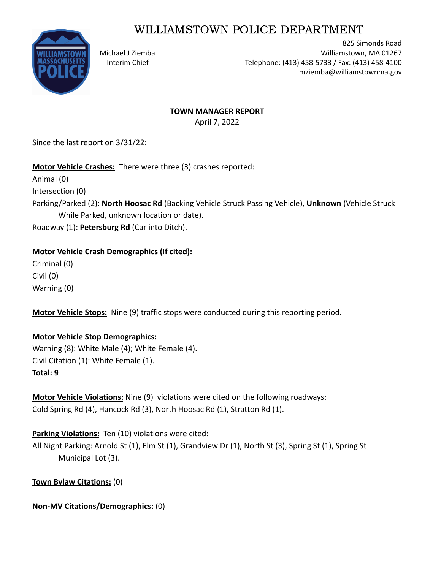# WILLIAMSTOWN POLICE DEPARTMENT



825 Simonds Road Michael J Ziemba Williamstown, MA 01267 Interim Chief Telephone: (413) 458-5733 / Fax: (413) 458-4100 mziemba@williamstownma.gov

# **TOWN MANAGER REPORT**

April 7, 2022

Since the last report on 3/31/22:

## **Motor Vehicle Crashes:** There were three (3) crashes reported:

Animal (0)

Intersection (0)

Parking/Parked (2): **North Hoosac Rd** (Backing Vehicle Struck Passing Vehicle), **Unknown** (Vehicle Struck While Parked, unknown location or date).

Roadway (1): **Petersburg Rd** (Car into Ditch).

### **Motor Vehicle Crash Demographics (If cited):**

Criminal (0) Civil (0) Warning (0)

**Motor Vehicle Stops:** Nine (9) traffic stops were conducted during this reporting period.

## **Motor Vehicle Stop Demographics:**

Warning (8): White Male (4); White Female (4). Civil Citation (1): White Female (1). **Total: 9**

**Motor Vehicle Violations:** Nine (9) violations were cited on the following roadways: Cold Spring Rd (4), Hancock Rd (3), North Hoosac Rd (1), Stratton Rd (1).

**Parking Violations:** Ten (10) violations were cited:

All Night Parking: Arnold St (1), Elm St (1), Grandview Dr (1), North St (3), Spring St (1), Spring St Municipal Lot (3).

**Town Bylaw Citations:** (0)

**Non-MV Citations/Demographics:** (0)